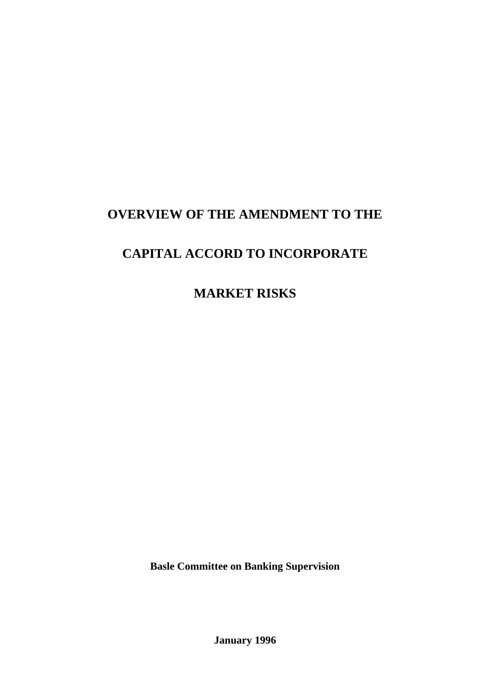# **OVERVIEW OF THE AMENDMENT TO THE**

# **CAPITAL ACCORD TO INCORPORATE**

**MARKET RISKS**

**Basle Committee on Banking Supervision**

**January 1996**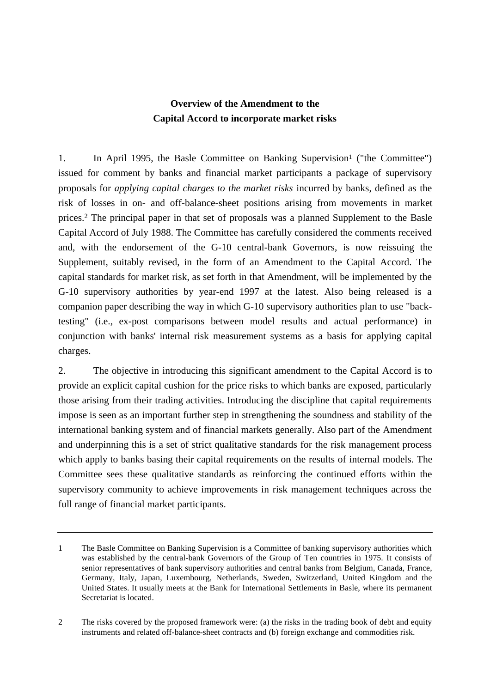# **Overview of the Amendment to the Capital Accord to incorporate market risks**

1. In April 1995, the Basle Committee on Banking Supervision<sup>1</sup> ("the Committee") issued for comment by banks and financial market participants a package of supervisory proposals for *applying capital charges to the market risks* incurred by banks, defined as the risk of losses in on- and off-balance-sheet positions arising from movements in market prices.2 The principal paper in that set of proposals was a planned Supplement to the Basle Capital Accord of July 1988. The Committee has carefully considered the comments received and, with the endorsement of the G-10 central-bank Governors, is now reissuing the Supplement, suitably revised, in the form of an Amendment to the Capital Accord. The capital standards for market risk, as set forth in that Amendment, will be implemented by the G-10 supervisory authorities by year-end 1997 at the latest. Also being released is a companion paper describing the way in which G-10 supervisory authorities plan to use "backtesting" (i.e., ex-post comparisons between model results and actual performance) in conjunction with banks' internal risk measurement systems as a basis for applying capital charges.

2. The objective in introducing this significant amendment to the Capital Accord is to provide an explicit capital cushion for the price risks to which banks are exposed, particularly those arising from their trading activities. Introducing the discipline that capital requirements impose is seen as an important further step in strengthening the soundness and stability of the international banking system and of financial markets generally. Also part of the Amendment and underpinning this is a set of strict qualitative standards for the risk management process which apply to banks basing their capital requirements on the results of internal models. The Committee sees these qualitative standards as reinforcing the continued efforts within the supervisory community to achieve improvements in risk management techniques across the full range of financial market participants.

2 The risks covered by the proposed framework were: (a) the risks in the trading book of debt and equity instruments and related off-balance-sheet contracts and (b) foreign exchange and commodities risk.

<sup>1</sup> The Basle Committee on Banking Supervision is a Committee of banking supervisory authorities which was established by the central-bank Governors of the Group of Ten countries in 1975. It consists of senior representatives of bank supervisory authorities and central banks from Belgium, Canada, France, Germany, Italy, Japan, Luxembourg, Netherlands, Sweden, Switzerland, United Kingdom and the United States. It usually meets at the Bank for International Settlements in Basle, where its permanent Secretariat is located.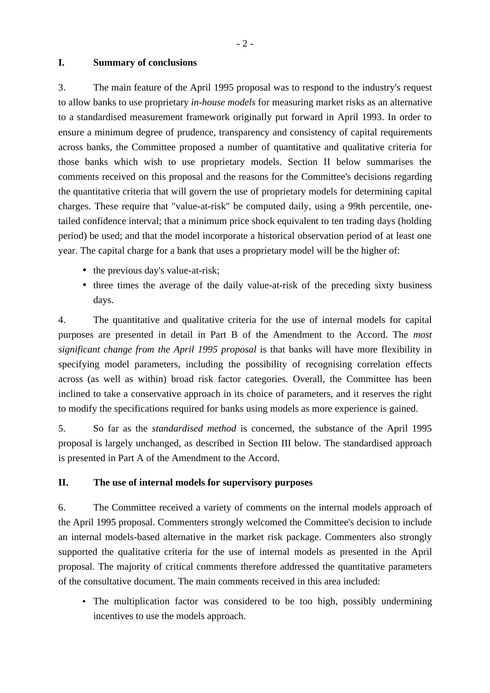#### **I. Summary of conclusions**

3. The main feature of the April 1995 proposal was to respond to the industry's request to allow banks to use proprietary *in-house models* for measuring market risks as an alternative to a standardised measurement framework originally put forward in April 1993. In order to ensure a minimum degree of prudence, transparency and consistency of capital requirements across banks, the Committee proposed a number of quantitative and qualitative criteria for those banks which wish to use proprietary models. Section II below summarises the comments received on this proposal and the reasons for the Committee's decisions regarding the quantitative criteria that will govern the use of proprietary models for determining capital charges. These require that "value-at-risk" be computed daily, using a 99th percentile, onetailed confidence interval; that a minimum price shock equivalent to ten trading days (holding period) be used; and that the model incorporate a historical observation period of at least one year. The capital charge for a bank that uses a proprietary model will be the higher of:

- the previous day's value-at-risk:
- three times the average of the daily value-at-risk of the preceding sixty business days.

4. The quantitative and qualitative criteria for the use of internal models for capital purposes are presented in detail in Part B of the Amendment to the Accord. The *most significant change from the April 1995 proposal* is that banks will have more flexibility in specifying model parameters, including the possibility of recognising correlation effects across (as well as within) broad risk factor categories. Overall, the Committee has been inclined to take a conservative approach in its choice of parameters, and it reserves the right to modify the specifications required for banks using models as more experience is gained.

5. So far as the *standardised method* is concerned, the substance of the April 1995 proposal is largely unchanged, as described in Section III below. The standardised approach is presented in Part A of the Amendment to the Accord.

#### **II. The use of internal models for supervisory purposes**

6. The Committee received a variety of comments on the internal models approach of the April 1995 proposal. Commenters strongly welcomed the Committee's decision to include an internal models-based alternative in the market risk package. Commenters also strongly supported the qualitative criteria for the use of internal models as presented in the April proposal. The majority of critical comments therefore addressed the quantitative parameters of the consultative document. The main comments received in this area included:

• The multiplication factor was considered to be too high, possibly undermining incentives to use the models approach.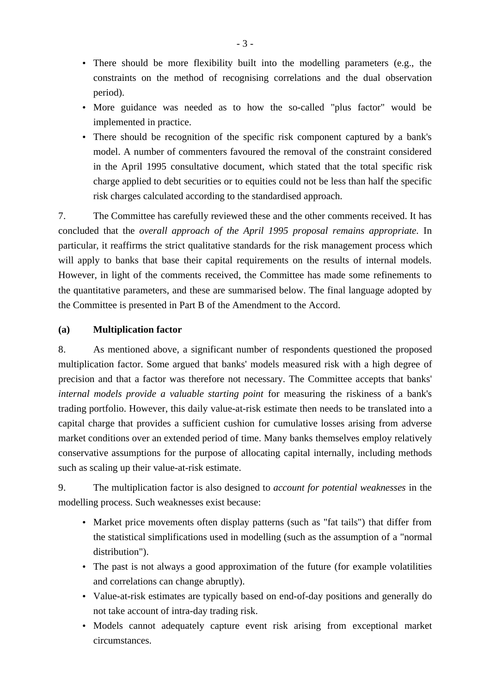- There should be more flexibility built into the modelling parameters (e.g., the constraints on the method of recognising correlations and the dual observation period).
- More guidance was needed as to how the so-called "plus factor" would be implemented in practice.
- There should be recognition of the specific risk component captured by a bank's model. A number of commenters favoured the removal of the constraint considered in the April 1995 consultative document, which stated that the total specific risk charge applied to debt securities or to equities could not be less than half the specific risk charges calculated according to the standardised approach.

7. The Committee has carefully reviewed these and the other comments received. It has concluded that the *overall approach of the April 1995 proposal remains appropriate*. In particular, it reaffirms the strict qualitative standards for the risk management process which will apply to banks that base their capital requirements on the results of internal models. However, in light of the comments received, the Committee has made some refinements to the quantitative parameters, and these are summarised below. The final language adopted by the Committee is presented in Part B of the Amendment to the Accord.

## **(a) Multiplication factor**

8. As mentioned above, a significant number of respondents questioned the proposed multiplication factor. Some argued that banks' models measured risk with a high degree of precision and that a factor was therefore not necessary. The Committee accepts that banks' *internal models provide a valuable starting point* for measuring the riskiness of a bank's trading portfolio. However, this daily value-at-risk estimate then needs to be translated into a capital charge that provides a sufficient cushion for cumulative losses arising from adverse market conditions over an extended period of time. Many banks themselves employ relatively conservative assumptions for the purpose of allocating capital internally, including methods such as scaling up their value-at-risk estimate.

9. The multiplication factor is also designed to *account for potential weaknesses* in the modelling process. Such weaknesses exist because:

- Market price movements often display patterns (such as "fat tails") that differ from the statistical simplifications used in modelling (such as the assumption of a "normal distribution").
- The past is not always a good approximation of the future (for example volatilities and correlations can change abruptly).
- Value-at-risk estimates are typically based on end-of-day positions and generally do not take account of intra-day trading risk.
- Models cannot adequately capture event risk arising from exceptional market circumstances.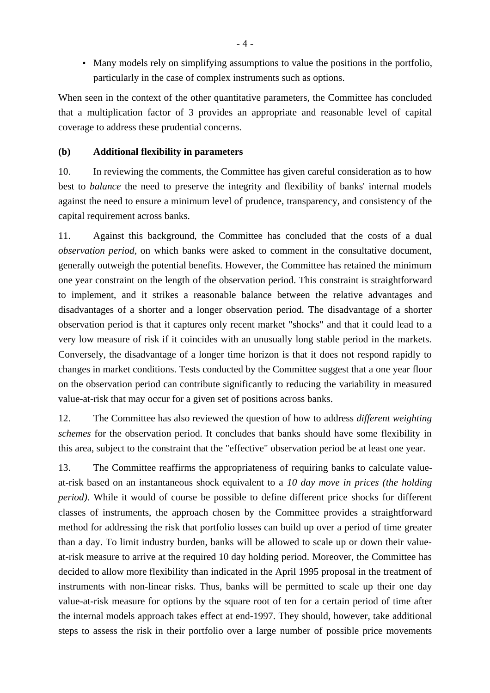• Many models rely on simplifying assumptions to value the positions in the portfolio, particularly in the case of complex instruments such as options.

When seen in the context of the other quantitative parameters, the Committee has concluded that a multiplication factor of 3 provides an appropriate and reasonable level of capital coverage to address these prudential concerns.

### **(b) Additional flexibility in parameters**

10. In reviewing the comments, the Committee has given careful consideration as to how best to *balance* the need to preserve the integrity and flexibility of banks' internal models against the need to ensure a minimum level of prudence, transparency, and consistency of the capital requirement across banks.

11. Against this background, the Committee has concluded that the costs of a dual *observation period,* on which banks were asked to comment in the consultative document, generally outweigh the potential benefits. However, the Committee has retained the minimum one year constraint on the length of the observation period. This constraint is straightforward to implement, and it strikes a reasonable balance between the relative advantages and disadvantages of a shorter and a longer observation period. The disadvantage of a shorter observation period is that it captures only recent market "shocks" and that it could lead to a very low measure of risk if it coincides with an unusually long stable period in the markets. Conversely, the disadvantage of a longer time horizon is that it does not respond rapidly to changes in market conditions. Tests conducted by the Committee suggest that a one year floor on the observation period can contribute significantly to reducing the variability in measured value-at-risk that may occur for a given set of positions across banks.

12. The Committee has also reviewed the question of how to address *different weighting schemes* for the observation period. It concludes that banks should have some flexibility in this area, subject to the constraint that the "effective" observation period be at least one year.

13. The Committee reaffirms the appropriateness of requiring banks to calculate valueat-risk based on an instantaneous shock equivalent to a *10 day move in prices (the holding period)*. While it would of course be possible to define different price shocks for different classes of instruments, the approach chosen by the Committee provides a straightforward method for addressing the risk that portfolio losses can build up over a period of time greater than a day. To limit industry burden, banks will be allowed to scale up or down their valueat-risk measure to arrive at the required 10 day holding period. Moreover, the Committee has decided to allow more flexibility than indicated in the April 1995 proposal in the treatment of instruments with non-linear risks. Thus, banks will be permitted to scale up their one day value-at-risk measure for options by the square root of ten for a certain period of time after the internal models approach takes effect at end-1997. They should, however, take additional steps to assess the risk in their portfolio over a large number of possible price movements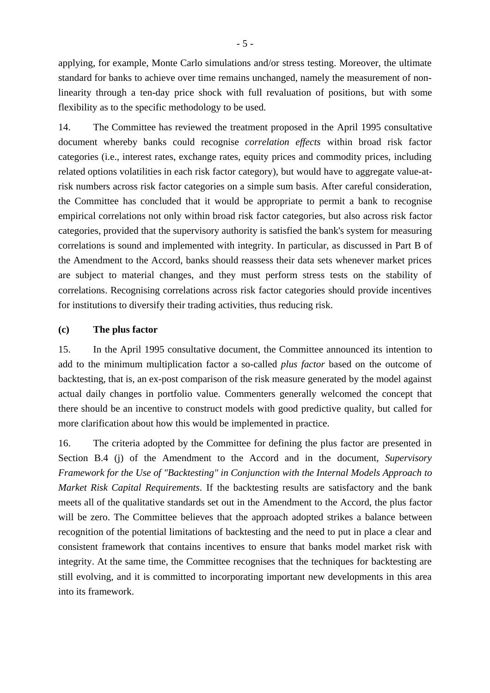applying, for example, Monte Carlo simulations and/or stress testing. Moreover, the ultimate standard for banks to achieve over time remains unchanged, namely the measurement of nonlinearity through a ten-day price shock with full revaluation of positions, but with some flexibility as to the specific methodology to be used.

14. The Committee has reviewed the treatment proposed in the April 1995 consultative document whereby banks could recognise *correlation effects* within broad risk factor categories (i.e., interest rates, exchange rates, equity prices and commodity prices, including related options volatilities in each risk factor category), but would have to aggregate value-atrisk numbers across risk factor categories on a simple sum basis. After careful consideration, the Committee has concluded that it would be appropriate to permit a bank to recognise empirical correlations not only within broad risk factor categories, but also across risk factor categories, provided that the supervisory authority is satisfied the bank's system for measuring correlations is sound and implemented with integrity. In particular, as discussed in Part B of the Amendment to the Accord, banks should reassess their data sets whenever market prices are subject to material changes, and they must perform stress tests on the stability of correlations. Recognising correlations across risk factor categories should provide incentives for institutions to diversify their trading activities, thus reducing risk.

#### **(c) The plus factor**

15. In the April 1995 consultative document, the Committee announced its intention to add to the minimum multiplication factor a so-called *plus factor* based on the outcome of backtesting, that is, an ex-post comparison of the risk measure generated by the model against actual daily changes in portfolio value. Commenters generally welcomed the concept that there should be an incentive to construct models with good predictive quality, but called for more clarification about how this would be implemented in practice.

16. The criteria adopted by the Committee for defining the plus factor are presented in Section B.4 (j) of the Amendment to the Accord and in the document, *Supervisory Framework for the Use of "Backtesting" in Conjunction with the Internal Models Approach to Market Risk Capital Requirements*. If the backtesting results are satisfactory and the bank meets all of the qualitative standards set out in the Amendment to the Accord, the plus factor will be zero. The Committee believes that the approach adopted strikes a balance between recognition of the potential limitations of backtesting and the need to put in place a clear and consistent framework that contains incentives to ensure that banks model market risk with integrity. At the same time, the Committee recognises that the techniques for backtesting are still evolving, and it is committed to incorporating important new developments in this area into its framework.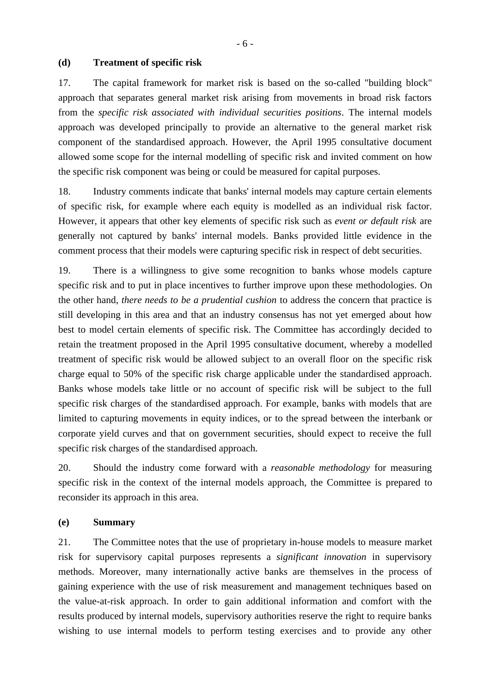#### **(d) Treatment of specific risk**

17. The capital framework for market risk is based on the so-called "building block" approach that separates general market risk arising from movements in broad risk factors from the *specific risk associated with individual securities positions*. The internal models approach was developed principally to provide an alternative to the general market risk component of the standardised approach. However, the April 1995 consultative document allowed some scope for the internal modelling of specific risk and invited comment on how the specific risk component was being or could be measured for capital purposes.

18. Industry comments indicate that banks' internal models may capture certain elements of specific risk, for example where each equity is modelled as an individual risk factor. However, it appears that other key elements of specific risk such as *event or default risk* are generally not captured by banks' internal models. Banks provided little evidence in the comment process that their models were capturing specific risk in respect of debt securities.

19. There is a willingness to give some recognition to banks whose models capture specific risk and to put in place incentives to further improve upon these methodologies. On the other hand, *there needs to be a prudential cushion* to address the concern that practice is still developing in this area and that an industry consensus has not yet emerged about how best to model certain elements of specific risk. The Committee has accordingly decided to retain the treatment proposed in the April 1995 consultative document, whereby a modelled treatment of specific risk would be allowed subject to an overall floor on the specific risk charge equal to 50% of the specific risk charge applicable under the standardised approach. Banks whose models take little or no account of specific risk will be subject to the full specific risk charges of the standardised approach. For example, banks with models that are limited to capturing movements in equity indices, or to the spread between the interbank or corporate yield curves and that on government securities, should expect to receive the full specific risk charges of the standardised approach.

20. Should the industry come forward with a *reasonable methodology* for measuring specific risk in the context of the internal models approach, the Committee is prepared to reconsider its approach in this area.

#### **(e) Summary**

21. The Committee notes that the use of proprietary in-house models to measure market risk for supervisory capital purposes represents a *significant innovation* in supervisory methods. Moreover, many internationally active banks are themselves in the process of gaining experience with the use of risk measurement and management techniques based on the value-at-risk approach. In order to gain additional information and comfort with the results produced by internal models, supervisory authorities reserve the right to require banks wishing to use internal models to perform testing exercises and to provide any other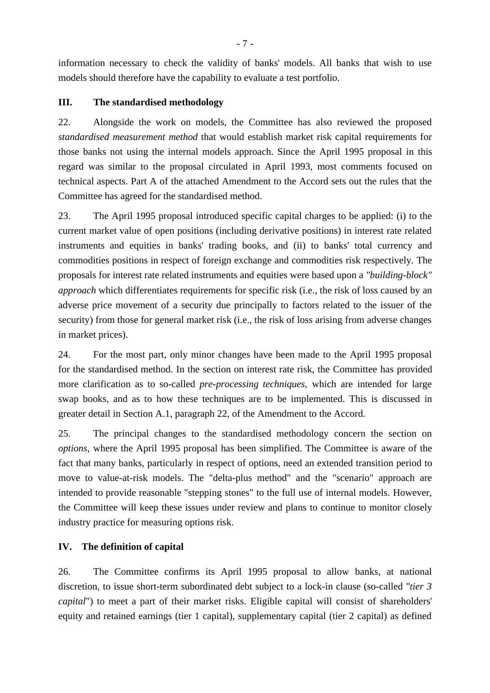information necessary to check the validity of banks' models. All banks that wish to use models should therefore have the capability to evaluate a test portfolio.

## **III. The standardised methodology**

22. Alongside the work on models, the Committee has also reviewed the proposed *standardised measurement method* that would establish market risk capital requirements for those banks not using the internal models approach. Since the April 1995 proposal in this regard was similar to the proposal circulated in April 1993, most comments focused on technical aspects. Part A of the attached Amendment to the Accord sets out the rules that the Committee has agreed for the standardised method.

23. The April 1995 proposal introduced specific capital charges to be applied: (i) to the current market value of open positions (including derivative positions) in interest rate related instruments and equities in banks' trading books, and (ii) to banks' total currency and commodities positions in respect of foreign exchange and commodities risk respectively. The proposals for interest rate related instruments and equities were based upon a *"building-block" approach* which differentiates requirements for specific risk (i.e., the risk of loss caused by an adverse price movement of a security due principally to factors related to the issuer of the security) from those for general market risk (i.e., the risk of loss arising from adverse changes in market prices).

24. For the most part, only minor changes have been made to the April 1995 proposal for the standardised method. In the section on interest rate risk, the Committee has provided more clarification as to so-called *pre-processing techniques*, which are intended for large swap books, and as to how these techniques are to be implemented. This is discussed in greater detail in Section A.1, paragraph 22, of the Amendment to the Accord.

25. The principal changes to the standardised methodology concern the section on *options*, where the April 1995 proposal has been simplified. The Committee is aware of the fact that many banks, particularly in respect of options, need an extended transition period to move to value-at-risk models. The "delta-plus method" and the "scenario" approach are intended to provide reasonable "stepping stones" to the full use of internal models. However, the Committee will keep these issues under review and plans to continue to monitor closely industry practice for measuring options risk.

# **IV. The definition of capital**

26. The Committee confirms its April 1995 proposal to allow banks, at national discretion, to issue short-term subordinated debt subject to a lock-in clause (so-called "*tier 3 capital*") to meet a part of their market risks. Eligible capital will consist of shareholders' equity and retained earnings (tier 1 capital), supplementary capital (tier 2 capital) as defined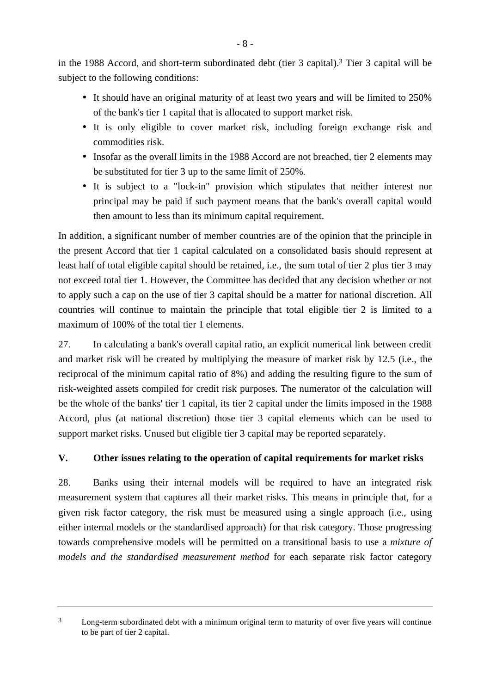in the 1988 Accord, and short-term subordinated debt (tier 3 capital).3 Tier 3 capital will be subject to the following conditions:

- It should have an original maturity of at least two years and will be limited to 250% of the bank's tier 1 capital that is allocated to support market risk.
- It is only eligible to cover market risk, including foreign exchange risk and commodities risk.
- Insofar as the overall limits in the 1988 Accord are not breached, tier 2 elements may be substituted for tier 3 up to the same limit of 250%.
- It is subject to a "lock-in" provision which stipulates that neither interest nor principal may be paid if such payment means that the bank's overall capital would then amount to less than its minimum capital requirement.

In addition, a significant number of member countries are of the opinion that the principle in the present Accord that tier 1 capital calculated on a consolidated basis should represent at least half of total eligible capital should be retained, i.e., the sum total of tier 2 plus tier 3 may not exceed total tier 1. However, the Committee has decided that any decision whether or not to apply such a cap on the use of tier 3 capital should be a matter for national discretion. All countries will continue to maintain the principle that total eligible tier 2 is limited to a maximum of 100% of the total tier 1 elements.

27. In calculating a bank's overall capital ratio, an explicit numerical link between credit and market risk will be created by multiplying the measure of market risk by 12.5 (i.e., the reciprocal of the minimum capital ratio of 8%) and adding the resulting figure to the sum of risk-weighted assets compiled for credit risk purposes. The numerator of the calculation will be the whole of the banks' tier 1 capital, its tier 2 capital under the limits imposed in the 1988 Accord, plus (at national discretion) those tier 3 capital elements which can be used to support market risks. Unused but eligible tier 3 capital may be reported separately.

# **V. Other issues relating to the operation of capital requirements for market risks**

28. Banks using their internal models will be required to have an integrated risk measurement system that captures all their market risks. This means in principle that, for a given risk factor category, the risk must be measured using a single approach (i.e., using either internal models or the standardised approach) for that risk category. Those progressing towards comprehensive models will be permitted on a transitional basis to use a *mixture of models and the standardised measurement method* for each separate risk factor category

<sup>&</sup>lt;sup>3</sup> Long-term subordinated debt with a minimum original term to maturity of over five years will continue to be part of tier 2 capital.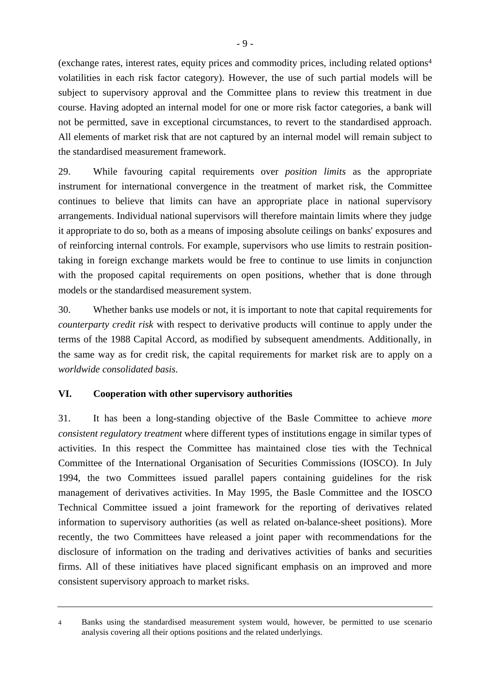(exchange rates, interest rates, equity prices and commodity prices, including related options4 volatilities in each risk factor category). However, the use of such partial models will be subject to supervisory approval and the Committee plans to review this treatment in due course. Having adopted an internal model for one or more risk factor categories, a bank will not be permitted, save in exceptional circumstances, to revert to the standardised approach. All elements of market risk that are not captured by an internal model will remain subject to the standardised measurement framework.

29. While favouring capital requirements over *position limits* as the appropriate instrument for international convergence in the treatment of market risk, the Committee continues to believe that limits can have an appropriate place in national supervisory arrangements. Individual national supervisors will therefore maintain limits where they judge it appropriate to do so, both as a means of imposing absolute ceilings on banks' exposures and of reinforcing internal controls. For example, supervisors who use limits to restrain positiontaking in foreign exchange markets would be free to continue to use limits in conjunction with the proposed capital requirements on open positions, whether that is done through models or the standardised measurement system.

30. Whether banks use models or not, it is important to note that capital requirements for *counterparty credit risk* with respect to derivative products will continue to apply under the terms of the 1988 Capital Accord, as modified by subsequent amendments. Additionally, in the same way as for credit risk, the capital requirements for market risk are to apply on a *worldwide consolidated basis*.

## **VI. Cooperation with other supervisory authorities**

31. It has been a long-standing objective of the Basle Committee to achieve *more consistent regulatory treatment* where different types of institutions engage in similar types of activities. In this respect the Committee has maintained close ties with the Technical Committee of the International Organisation of Securities Commissions (IOSCO). In July 1994, the two Committees issued parallel papers containing guidelines for the risk management of derivatives activities. In May 1995, the Basle Committee and the IOSCO Technical Committee issued a joint framework for the reporting of derivatives related information to supervisory authorities (as well as related on-balance-sheet positions). More recently, the two Committees have released a joint paper with recommendations for the disclosure of information on the trading and derivatives activities of banks and securities firms. All of these initiatives have placed significant emphasis on an improved and more consistent supervisory approach to market risks.

<sup>4</sup> Banks using the standardised measurement system would, however, be permitted to use scenario analysis covering all their options positions and the related underlyings.